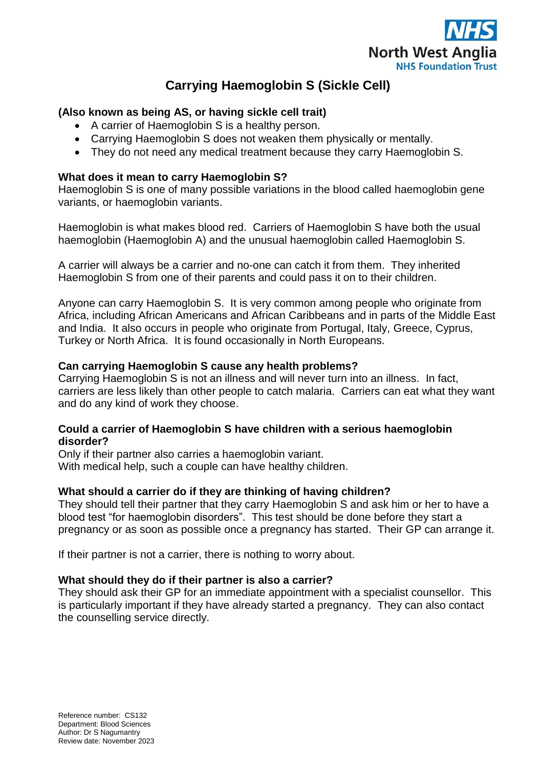

# **Carrying Haemoglobin S (Sickle Cell)**

## **(Also known as being AS, or having sickle cell trait)**

- A carrier of Haemoglobin S is a healthy person.
- Carrying Haemoglobin S does not weaken them physically or mentally.
- They do not need any medical treatment because they carry Haemoglobin S.

### **What does it mean to carry Haemoglobin S?**

Haemoglobin S is one of many possible variations in the blood called haemoglobin gene variants, or haemoglobin variants.

Haemoglobin is what makes blood red. Carriers of Haemoglobin S have both the usual haemoglobin (Haemoglobin A) and the unusual haemoglobin called Haemoglobin S.

A carrier will always be a carrier and no-one can catch it from them. They inherited Haemoglobin S from one of their parents and could pass it on to their children.

Anyone can carry Haemoglobin S. It is very common among people who originate from Africa, including African Americans and African Caribbeans and in parts of the Middle East and India. It also occurs in people who originate from Portugal, Italy, Greece, Cyprus, Turkey or North Africa. It is found occasionally in North Europeans.

### **Can carrying Haemoglobin S cause any health problems?**

Carrying Haemoglobin S is not an illness and will never turn into an illness. In fact, carriers are less likely than other people to catch malaria. Carriers can eat what they want and do any kind of work they choose.

### **Could a carrier of Haemoglobin S have children with a serious haemoglobin disorder?**

Only if their partner also carries a haemoglobin variant. With medical help, such a couple can have healthy children.

# **What should a carrier do if they are thinking of having children?**

They should tell their partner that they carry Haemoglobin S and ask him or her to have a blood test "for haemoglobin disorders". This test should be done before they start a pregnancy or as soon as possible once a pregnancy has started. Their GP can arrange it.

If their partner is not a carrier, there is nothing to worry about.

### **What should they do if their partner is also a carrier?**

They should ask their GP for an immediate appointment with a specialist counsellor. This is particularly important if they have already started a pregnancy. They can also contact the counselling service directly.